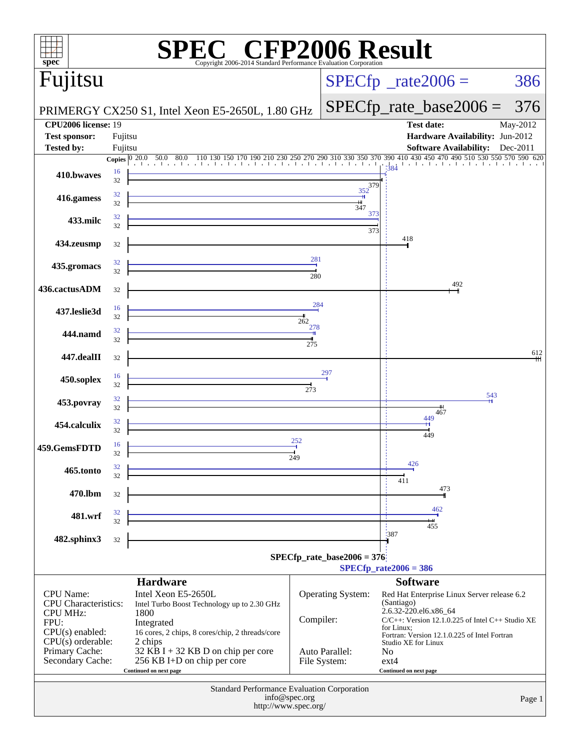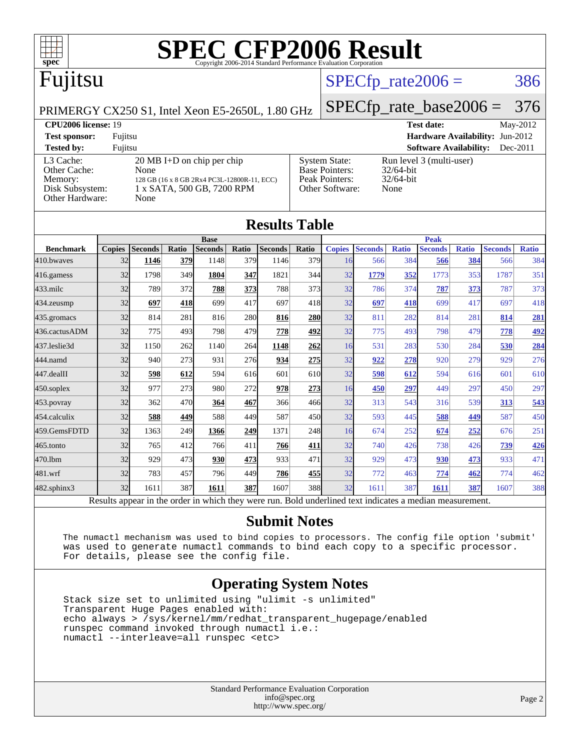

## Fujitsu

### $SPECTp\_rate2006 = 386$

[System State:](http://www.spec.org/auto/cpu2006/Docs/result-fields.html#SystemState) Run level 3 (multi-user)<br>Base Pointers: 32/64-bit

[Base Pointers:](http://www.spec.org/auto/cpu2006/Docs/result-fields.html#BasePointers) 32/64-bit<br>Peak Pointers: 32/64-bit

[Other Software:](http://www.spec.org/auto/cpu2006/Docs/result-fields.html#OtherSoftware) None

[Peak Pointers:](http://www.spec.org/auto/cpu2006/Docs/result-fields.html#PeakPointers)

#### PRIMERGY CX250 S1, Intel Xeon E5-2650L, 1.80 GHz

# [SPECfp\\_rate\\_base2006 =](http://www.spec.org/auto/cpu2006/Docs/result-fields.html#SPECfpratebase2006) 376

**[CPU2006 license:](http://www.spec.org/auto/cpu2006/Docs/result-fields.html#CPU2006license)** 19 **[Test date:](http://www.spec.org/auto/cpu2006/Docs/result-fields.html#Testdate)** May-2012 **[Test sponsor:](http://www.spec.org/auto/cpu2006/Docs/result-fields.html#Testsponsor)** Fujitsu **[Hardware Availability:](http://www.spec.org/auto/cpu2006/Docs/result-fields.html#HardwareAvailability)** Jun-2012 **[Tested by:](http://www.spec.org/auto/cpu2006/Docs/result-fields.html#Testedby)** Fujitsu **[Software Availability:](http://www.spec.org/auto/cpu2006/Docs/result-fields.html#SoftwareAvailability)** Dec-2011

[L3 Cache:](http://www.spec.org/auto/cpu2006/Docs/result-fields.html#L3Cache) 20 MB I+D on chip per chip<br>Other Cache: None [Other Cache:](http://www.spec.org/auto/cpu2006/Docs/result-fields.html#OtherCache) [Memory:](http://www.spec.org/auto/cpu2006/Docs/result-fields.html#Memory) 128 GB (16 x 8 GB 2Rx4 PC3L-12800R-11, ECC) [Disk Subsystem:](http://www.spec.org/auto/cpu2006/Docs/result-fields.html#DiskSubsystem) 1 x SATA, 500 GB, 7200 RPM [Other Hardware:](http://www.spec.org/auto/cpu2006/Docs/result-fields.html#OtherHardware) None

| <b>Results Table</b> |               |                |       |                |       |                |       |               |                |              |                |              |                |              |
|----------------------|---------------|----------------|-------|----------------|-------|----------------|-------|---------------|----------------|--------------|----------------|--------------|----------------|--------------|
|                      | <b>Base</b>   |                |       |                |       | <b>Peak</b>    |       |               |                |              |                |              |                |              |
| <b>Benchmark</b>     | <b>Copies</b> | <b>Seconds</b> | Ratio | <b>Seconds</b> | Ratio | <b>Seconds</b> | Ratio | <b>Copies</b> | <b>Seconds</b> | <b>Ratio</b> | <b>Seconds</b> | <b>Ratio</b> | <b>Seconds</b> | <b>Ratio</b> |
| 410.bwayes           | 32            | 1146           | 379   | 1148           | 379   | 1146           | 379   | 16            | 566            | 384          | 566            | 384          | 566            | 384          |
| 416.gamess           | 32            | 1798           | 349   | 1804           | 347   | 1821           | 344   | 32            | 1779           | 352          | 1773           | 353          | 1787           | 351          |
| $433$ .milc          | 32            | 789            | 372   | 788            | 373   | 788            | 373   | 32            | 786            | 374          | 787            | 373          | 787            | 373          |
| 434.zeusmp           | 32            | 697            | 418   | 699            | 417   | 697            | 418   | 32            | 697            | 418          | 699            | 417          | 697            | 418          |
| 435.gromacs          | 32            | 814            | 281   | 816            | 280   | 816            | 280   | 32            | 811            | 282          | 814            | 281          | 814            | <u>281</u>   |
| 436.cactusADM        | 32            | 775            | 493   | 798            | 479   | 778            | 492   | 32            | 775            | 493          | 798            | 479          | 778            | 492          |
| 437.leslie3d         | 32            | 1150           | 262   | 1140           | 264   | 1148           | 262   | 16            | 531            | 283          | 530            | 284          | 530            | 284          |
| 444.namd             | 32            | 940            | 273   | 931            | 276   | 934            | 275   | 32            | 922            | 278          | 920            | 279          | 929            | 276          |
| 447.dealII           | 32            | 598            | 612   | 594            | 616   | 601            | 610   | 32            | 598            | 612          | 594            | 616          | 601            | 610          |
| 450.soplex           | 32            | 977            | 273   | 980            | 272   | 978            | 273   | 16            | 450            | 297          | 449            | 297          | 450            | 297          |
| $453$ .povray        | 32            | 362            | 470   | 364            | 467   | 366            | 466   | 32            | 313            | 543          | 316            | 539          | 313            | 543          |
| 454.calculix         | 32            | 588            | 449   | 588            | 449   | 587            | 450   | 32            | 593            | 445          | 588            | 449          | 587            | 450          |
| 459.GemsFDTD         | 32            | 1363           | 249   | 1366           | 249   | 1371           | 248   | 16            | 674            | 252          | 674            | 252          | 676            | 251          |
| 465.tonto            | 32            | 765            | 412   | 766            | 411   | 766            | 411   | 32            | 740            | 426          | 738            | 426          | 739            | 426          |
| 470.1bm              | 32            | 929            | 473   | 930            | 473   | 933            | 471   | 32            | 929            | 473          | 930            | 473          | 933            | 471          |
| 481.wrf              | 32            | 783            | 457   | 796            | 449   | 786            | 455   | 32            | 772            | 463          | 774            | 462          | 774            | 462          |
| $482$ .sphinx $3$    | 32            | 1611           | 387   | 1611           | 387   | 1607           | 388   | 32            | 1611           | 387          | 1611           | 387          | 1607           | 388          |

Results appear in the [order in which they were run.](http://www.spec.org/auto/cpu2006/Docs/result-fields.html#RunOrder) Bold underlined text [indicates a median measurement.](http://www.spec.org/auto/cpu2006/Docs/result-fields.html#Median)

#### **[Submit Notes](http://www.spec.org/auto/cpu2006/Docs/result-fields.html#SubmitNotes)**

 The numactl mechanism was used to bind copies to processors. The config file option 'submit' was used to generate numactl commands to bind each copy to a specific processor. For details, please see the config file.

#### **[Operating System Notes](http://www.spec.org/auto/cpu2006/Docs/result-fields.html#OperatingSystemNotes)**

 Stack size set to unlimited using "ulimit -s unlimited" Transparent Huge Pages enabled with: echo always > /sys/kernel/mm/redhat\_transparent\_hugepage/enabled runspec command invoked through numactl i.e.: numactl --interleave=all runspec <etc>

> Standard Performance Evaluation Corporation [info@spec.org](mailto:info@spec.org) <http://www.spec.org/>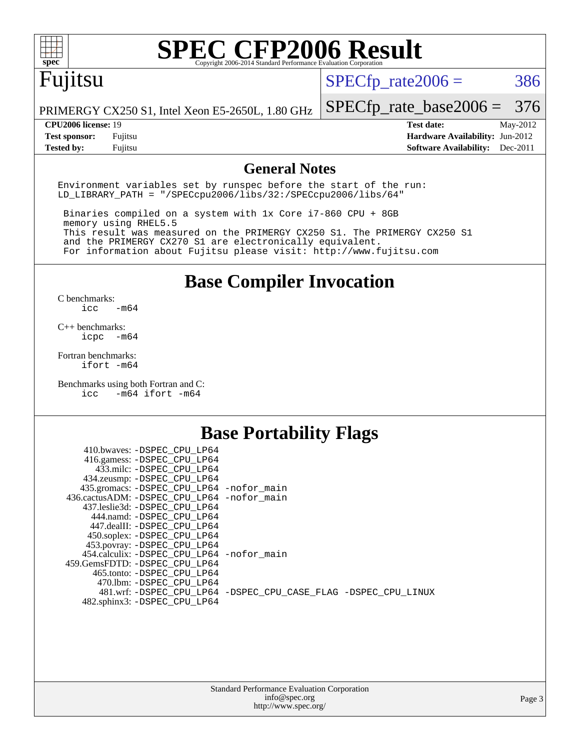

## Fujitsu

 $SPECTp_rate2006 = 386$ 

PRIMERGY CX250 S1, Intel Xeon E5-2650L, 1.80 GHz

[SPECfp\\_rate\\_base2006 =](http://www.spec.org/auto/cpu2006/Docs/result-fields.html#SPECfpratebase2006) 376

**[CPU2006 license:](http://www.spec.org/auto/cpu2006/Docs/result-fields.html#CPU2006license)** 19 **[Test date:](http://www.spec.org/auto/cpu2006/Docs/result-fields.html#Testdate)** May-2012 **[Test sponsor:](http://www.spec.org/auto/cpu2006/Docs/result-fields.html#Testsponsor)** Fujitsu **[Hardware Availability:](http://www.spec.org/auto/cpu2006/Docs/result-fields.html#HardwareAvailability)** Jun-2012 **[Tested by:](http://www.spec.org/auto/cpu2006/Docs/result-fields.html#Testedby)** Fujitsu **[Software Availability:](http://www.spec.org/auto/cpu2006/Docs/result-fields.html#SoftwareAvailability)** Dec-2011

#### **[General Notes](http://www.spec.org/auto/cpu2006/Docs/result-fields.html#GeneralNotes)**

Environment variables set by runspec before the start of the run: LD\_LIBRARY\_PATH = "/SPECcpu2006/libs/32:/SPECcpu2006/libs/64"

 Binaries compiled on a system with 1x Core i7-860 CPU + 8GB memory using RHEL5.5 This result was measured on the PRIMERGY CX250 S1. The PRIMERGY CX250 S1 and the PRIMERGY CX270 S1 are electronically equivalent. For information about Fujitsu please visit: <http://www.fujitsu.com>

**[Base Compiler Invocation](http://www.spec.org/auto/cpu2006/Docs/result-fields.html#BaseCompilerInvocation)**

 $C$  benchmarks:<br>icc  $-m64$ 

[C++ benchmarks:](http://www.spec.org/auto/cpu2006/Docs/result-fields.html#CXXbenchmarks) [icpc -m64](http://www.spec.org/cpu2006/results/res2012q3/cpu2006-20120605-22793.flags.html#user_CXXbase_intel_icpc_64bit_bedb90c1146cab66620883ef4f41a67e)

[Fortran benchmarks](http://www.spec.org/auto/cpu2006/Docs/result-fields.html#Fortranbenchmarks): [ifort -m64](http://www.spec.org/cpu2006/results/res2012q3/cpu2006-20120605-22793.flags.html#user_FCbase_intel_ifort_64bit_ee9d0fb25645d0210d97eb0527dcc06e)

[Benchmarks using both Fortran and C](http://www.spec.org/auto/cpu2006/Docs/result-fields.html#BenchmarksusingbothFortranandC): [icc -m64](http://www.spec.org/cpu2006/results/res2012q3/cpu2006-20120605-22793.flags.html#user_CC_FCbase_intel_icc_64bit_0b7121f5ab7cfabee23d88897260401c) [ifort -m64](http://www.spec.org/cpu2006/results/res2012q3/cpu2006-20120605-22793.flags.html#user_CC_FCbase_intel_ifort_64bit_ee9d0fb25645d0210d97eb0527dcc06e)

#### **[Base Portability Flags](http://www.spec.org/auto/cpu2006/Docs/result-fields.html#BasePortabilityFlags)**

| 410.bwaves: -DSPEC CPU LP64                 |                                                                |
|---------------------------------------------|----------------------------------------------------------------|
| 416.gamess: -DSPEC_CPU_LP64                 |                                                                |
| 433.milc: -DSPEC CPU LP64                   |                                                                |
| 434.zeusmp: -DSPEC_CPU_LP64                 |                                                                |
| 435.gromacs: -DSPEC_CPU_LP64 -nofor_main    |                                                                |
| 436.cactusADM: -DSPEC CPU LP64 -nofor main  |                                                                |
| 437.leslie3d: -DSPEC CPU LP64               |                                                                |
| 444.namd: -DSPEC CPU LP64                   |                                                                |
| 447.dealII: -DSPEC CPU LP64                 |                                                                |
| 450.soplex: -DSPEC_CPU_LP64                 |                                                                |
| 453.povray: -DSPEC_CPU_LP64                 |                                                                |
| 454.calculix: - DSPEC CPU LP64 - nofor main |                                                                |
| 459. GemsFDTD: - DSPEC CPU LP64             |                                                                |
| 465.tonto: - DSPEC CPU LP64                 |                                                                |
| 470.1bm: - DSPEC CPU LP64                   |                                                                |
|                                             | 481.wrf: -DSPEC CPU_LP64 -DSPEC_CPU_CASE_FLAG -DSPEC_CPU_LINUX |
| 482.sphinx3: -DSPEC_CPU_LP64                |                                                                |
|                                             |                                                                |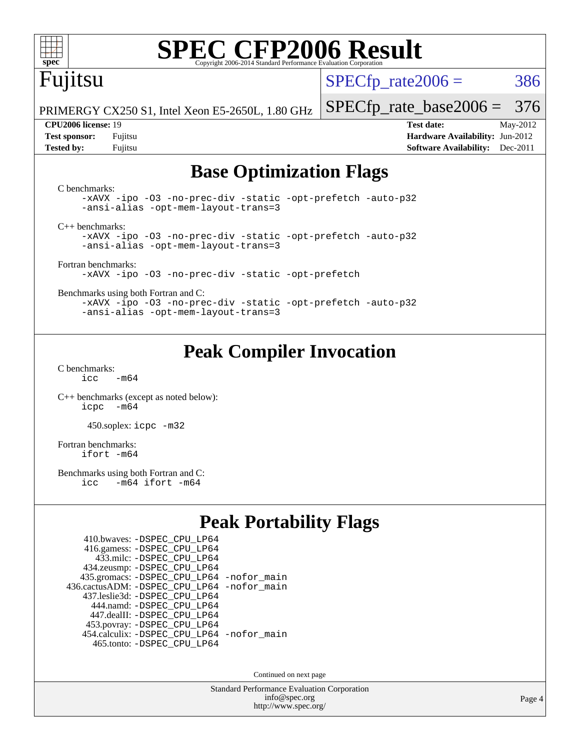

## Fujitsu

 $SPECTp\_rate2006 = 386$ 

PRIMERGY CX250 S1, Intel Xeon E5-2650L, 1.80 GHz

#### **[CPU2006 license:](http://www.spec.org/auto/cpu2006/Docs/result-fields.html#CPU2006license)** 19 **[Test date:](http://www.spec.org/auto/cpu2006/Docs/result-fields.html#Testdate)** May-2012

[SPECfp\\_rate\\_base2006 =](http://www.spec.org/auto/cpu2006/Docs/result-fields.html#SPECfpratebase2006) 376

**[Test sponsor:](http://www.spec.org/auto/cpu2006/Docs/result-fields.html#Testsponsor)** Fujitsu **[Hardware Availability:](http://www.spec.org/auto/cpu2006/Docs/result-fields.html#HardwareAvailability)** Jun-2012 **[Tested by:](http://www.spec.org/auto/cpu2006/Docs/result-fields.html#Testedby)** Fujitsu **[Software Availability:](http://www.spec.org/auto/cpu2006/Docs/result-fields.html#SoftwareAvailability)** Dec-2011

#### **[Base Optimization Flags](http://www.spec.org/auto/cpu2006/Docs/result-fields.html#BaseOptimizationFlags)**

[C benchmarks](http://www.spec.org/auto/cpu2006/Docs/result-fields.html#Cbenchmarks): [-xAVX](http://www.spec.org/cpu2006/results/res2012q3/cpu2006-20120605-22793.flags.html#user_CCbase_f-xAVX) [-ipo](http://www.spec.org/cpu2006/results/res2012q3/cpu2006-20120605-22793.flags.html#user_CCbase_f-ipo) [-O3](http://www.spec.org/cpu2006/results/res2012q3/cpu2006-20120605-22793.flags.html#user_CCbase_f-O3) [-no-prec-div](http://www.spec.org/cpu2006/results/res2012q3/cpu2006-20120605-22793.flags.html#user_CCbase_f-no-prec-div) [-static](http://www.spec.org/cpu2006/results/res2012q3/cpu2006-20120605-22793.flags.html#user_CCbase_f-static) [-opt-prefetch](http://www.spec.org/cpu2006/results/res2012q3/cpu2006-20120605-22793.flags.html#user_CCbase_f-opt-prefetch) [-auto-p32](http://www.spec.org/cpu2006/results/res2012q3/cpu2006-20120605-22793.flags.html#user_CCbase_f-auto-p32) [-ansi-alias](http://www.spec.org/cpu2006/results/res2012q3/cpu2006-20120605-22793.flags.html#user_CCbase_f-ansi-alias) [-opt-mem-layout-trans=3](http://www.spec.org/cpu2006/results/res2012q3/cpu2006-20120605-22793.flags.html#user_CCbase_f-opt-mem-layout-trans_a7b82ad4bd7abf52556d4961a2ae94d5) [C++ benchmarks:](http://www.spec.org/auto/cpu2006/Docs/result-fields.html#CXXbenchmarks) [-xAVX](http://www.spec.org/cpu2006/results/res2012q3/cpu2006-20120605-22793.flags.html#user_CXXbase_f-xAVX) [-ipo](http://www.spec.org/cpu2006/results/res2012q3/cpu2006-20120605-22793.flags.html#user_CXXbase_f-ipo) [-O3](http://www.spec.org/cpu2006/results/res2012q3/cpu2006-20120605-22793.flags.html#user_CXXbase_f-O3) [-no-prec-div](http://www.spec.org/cpu2006/results/res2012q3/cpu2006-20120605-22793.flags.html#user_CXXbase_f-no-prec-div) [-static](http://www.spec.org/cpu2006/results/res2012q3/cpu2006-20120605-22793.flags.html#user_CXXbase_f-static) [-opt-prefetch](http://www.spec.org/cpu2006/results/res2012q3/cpu2006-20120605-22793.flags.html#user_CXXbase_f-opt-prefetch) [-auto-p32](http://www.spec.org/cpu2006/results/res2012q3/cpu2006-20120605-22793.flags.html#user_CXXbase_f-auto-p32) [-ansi-alias](http://www.spec.org/cpu2006/results/res2012q3/cpu2006-20120605-22793.flags.html#user_CXXbase_f-ansi-alias) [-opt-mem-layout-trans=3](http://www.spec.org/cpu2006/results/res2012q3/cpu2006-20120605-22793.flags.html#user_CXXbase_f-opt-mem-layout-trans_a7b82ad4bd7abf52556d4961a2ae94d5) [Fortran benchmarks](http://www.spec.org/auto/cpu2006/Docs/result-fields.html#Fortranbenchmarks): [-xAVX](http://www.spec.org/cpu2006/results/res2012q3/cpu2006-20120605-22793.flags.html#user_FCbase_f-xAVX) [-ipo](http://www.spec.org/cpu2006/results/res2012q3/cpu2006-20120605-22793.flags.html#user_FCbase_f-ipo) [-O3](http://www.spec.org/cpu2006/results/res2012q3/cpu2006-20120605-22793.flags.html#user_FCbase_f-O3) [-no-prec-div](http://www.spec.org/cpu2006/results/res2012q3/cpu2006-20120605-22793.flags.html#user_FCbase_f-no-prec-div) [-static](http://www.spec.org/cpu2006/results/res2012q3/cpu2006-20120605-22793.flags.html#user_FCbase_f-static) [-opt-prefetch](http://www.spec.org/cpu2006/results/res2012q3/cpu2006-20120605-22793.flags.html#user_FCbase_f-opt-prefetch) [Benchmarks using both Fortran and C](http://www.spec.org/auto/cpu2006/Docs/result-fields.html#BenchmarksusingbothFortranandC): [-xAVX](http://www.spec.org/cpu2006/results/res2012q3/cpu2006-20120605-22793.flags.html#user_CC_FCbase_f-xAVX) [-ipo](http://www.spec.org/cpu2006/results/res2012q3/cpu2006-20120605-22793.flags.html#user_CC_FCbase_f-ipo) [-O3](http://www.spec.org/cpu2006/results/res2012q3/cpu2006-20120605-22793.flags.html#user_CC_FCbase_f-O3) [-no-prec-div](http://www.spec.org/cpu2006/results/res2012q3/cpu2006-20120605-22793.flags.html#user_CC_FCbase_f-no-prec-div) [-static](http://www.spec.org/cpu2006/results/res2012q3/cpu2006-20120605-22793.flags.html#user_CC_FCbase_f-static) [-opt-prefetch](http://www.spec.org/cpu2006/results/res2012q3/cpu2006-20120605-22793.flags.html#user_CC_FCbase_f-opt-prefetch) [-auto-p32](http://www.spec.org/cpu2006/results/res2012q3/cpu2006-20120605-22793.flags.html#user_CC_FCbase_f-auto-p32) [-ansi-alias](http://www.spec.org/cpu2006/results/res2012q3/cpu2006-20120605-22793.flags.html#user_CC_FCbase_f-ansi-alias) [-opt-mem-layout-trans=3](http://www.spec.org/cpu2006/results/res2012q3/cpu2006-20120605-22793.flags.html#user_CC_FCbase_f-opt-mem-layout-trans_a7b82ad4bd7abf52556d4961a2ae94d5)

### **[Peak Compiler Invocation](http://www.spec.org/auto/cpu2006/Docs/result-fields.html#PeakCompilerInvocation)**

[C benchmarks](http://www.spec.org/auto/cpu2006/Docs/result-fields.html#Cbenchmarks):  $icc$   $-m64$ 

[C++ benchmarks \(except as noted below\):](http://www.spec.org/auto/cpu2006/Docs/result-fields.html#CXXbenchmarksexceptasnotedbelow) [icpc -m64](http://www.spec.org/cpu2006/results/res2012q3/cpu2006-20120605-22793.flags.html#user_CXXpeak_intel_icpc_64bit_bedb90c1146cab66620883ef4f41a67e)

450.soplex: [icpc -m32](http://www.spec.org/cpu2006/results/res2012q3/cpu2006-20120605-22793.flags.html#user_peakCXXLD450_soplex_intel_icpc_4e5a5ef1a53fd332b3c49e69c3330699)

[Fortran benchmarks](http://www.spec.org/auto/cpu2006/Docs/result-fields.html#Fortranbenchmarks): [ifort -m64](http://www.spec.org/cpu2006/results/res2012q3/cpu2006-20120605-22793.flags.html#user_FCpeak_intel_ifort_64bit_ee9d0fb25645d0210d97eb0527dcc06e)

[Benchmarks using both Fortran and C](http://www.spec.org/auto/cpu2006/Docs/result-fields.html#BenchmarksusingbothFortranandC):<br>icc -m64 ifort -m64  $-m64$  ifort  $-m64$ 

#### **[Peak Portability Flags](http://www.spec.org/auto/cpu2006/Docs/result-fields.html#PeakPortabilityFlags)**

| 410.bwaves: - DSPEC CPU LP64                 |  |
|----------------------------------------------|--|
| 416.gamess: -DSPEC_CPU_LP64                  |  |
| 433.milc: -DSPEC CPU LP64                    |  |
| 434.zeusmp: - DSPEC_CPU_LP64                 |  |
| 435.gromacs: -DSPEC_CPU_LP64 -nofor_main     |  |
| 436.cactusADM: - DSPEC CPU LP64 - nofor main |  |
| 437.leslie3d: -DSPEC CPU LP64                |  |
| 444.namd: - DSPEC CPU LP64                   |  |
| 447.dealII: -DSPEC CPU LP64                  |  |
| 453.povray: -DSPEC_CPU_LP64                  |  |
| 454.calculix: - DSPEC CPU LP64 - nofor main  |  |
| 465.tonto: -DSPEC CPU LP64                   |  |

Continued on next page

Standard Performance Evaluation Corporation [info@spec.org](mailto:info@spec.org) <http://www.spec.org/>

Page 4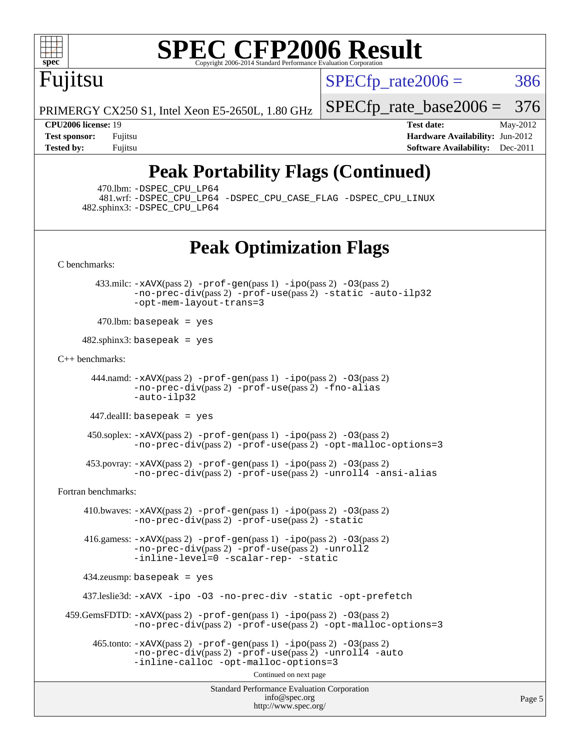

Fujitsu

 $SPECTp\_rate2006 = 386$ 

PRIMERGY CX250 S1, Intel Xeon E5-2650L, 1.80 GHz

**[Tested by:](http://www.spec.org/auto/cpu2006/Docs/result-fields.html#Testedby)** Fujitsu **Fugital Example 2011 [Software Availability:](http://www.spec.org/auto/cpu2006/Docs/result-fields.html#SoftwareAvailability)** Dec-2011

[SPECfp\\_rate\\_base2006 =](http://www.spec.org/auto/cpu2006/Docs/result-fields.html#SPECfpratebase2006) 376 **[CPU2006 license:](http://www.spec.org/auto/cpu2006/Docs/result-fields.html#CPU2006license)** 19 **[Test date:](http://www.spec.org/auto/cpu2006/Docs/result-fields.html#Testdate)** May-2012 **[Test sponsor:](http://www.spec.org/auto/cpu2006/Docs/result-fields.html#Testsponsor)** Fujitsu **[Hardware Availability:](http://www.spec.org/auto/cpu2006/Docs/result-fields.html#HardwareAvailability)** Jun-2012

## **[Peak Portability Flags \(Continued\)](http://www.spec.org/auto/cpu2006/Docs/result-fields.html#PeakPortabilityFlags)**

470.lbm: [-DSPEC\\_CPU\\_LP64](http://www.spec.org/cpu2006/results/res2012q3/cpu2006-20120605-22793.flags.html#suite_peakPORTABILITY470_lbm_DSPEC_CPU_LP64)

 481.wrf: [-DSPEC\\_CPU\\_LP64](http://www.spec.org/cpu2006/results/res2012q3/cpu2006-20120605-22793.flags.html#suite_peakPORTABILITY481_wrf_DSPEC_CPU_LP64) [-DSPEC\\_CPU\\_CASE\\_FLAG](http://www.spec.org/cpu2006/results/res2012q3/cpu2006-20120605-22793.flags.html#b481.wrf_peakCPORTABILITY_DSPEC_CPU_CASE_FLAG) [-DSPEC\\_CPU\\_LINUX](http://www.spec.org/cpu2006/results/res2012q3/cpu2006-20120605-22793.flags.html#b481.wrf_peakCPORTABILITY_DSPEC_CPU_LINUX) 482.sphinx3: [-DSPEC\\_CPU\\_LP64](http://www.spec.org/cpu2006/results/res2012q3/cpu2006-20120605-22793.flags.html#suite_peakPORTABILITY482_sphinx3_DSPEC_CPU_LP64)

## **[Peak Optimization Flags](http://www.spec.org/auto/cpu2006/Docs/result-fields.html#PeakOptimizationFlags)**

[C benchmarks](http://www.spec.org/auto/cpu2006/Docs/result-fields.html#Cbenchmarks):

 433.milc: [-xAVX](http://www.spec.org/cpu2006/results/res2012q3/cpu2006-20120605-22793.flags.html#user_peakPASS2_CFLAGSPASS2_LDFLAGS433_milc_f-xAVX)(pass 2) [-prof-gen](http://www.spec.org/cpu2006/results/res2012q3/cpu2006-20120605-22793.flags.html#user_peakPASS1_CFLAGSPASS1_LDFLAGS433_milc_prof_gen_e43856698f6ca7b7e442dfd80e94a8fc)(pass 1) [-ipo](http://www.spec.org/cpu2006/results/res2012q3/cpu2006-20120605-22793.flags.html#user_peakPASS2_CFLAGSPASS2_LDFLAGS433_milc_f-ipo)(pass 2) [-O3](http://www.spec.org/cpu2006/results/res2012q3/cpu2006-20120605-22793.flags.html#user_peakPASS2_CFLAGSPASS2_LDFLAGS433_milc_f-O3)(pass 2) [-no-prec-div](http://www.spec.org/cpu2006/results/res2012q3/cpu2006-20120605-22793.flags.html#user_peakPASS2_CFLAGSPASS2_LDFLAGS433_milc_f-no-prec-div)(pass 2) [-prof-use](http://www.spec.org/cpu2006/results/res2012q3/cpu2006-20120605-22793.flags.html#user_peakPASS2_CFLAGSPASS2_LDFLAGS433_milc_prof_use_bccf7792157ff70d64e32fe3e1250b55)(pass 2) [-static](http://www.spec.org/cpu2006/results/res2012q3/cpu2006-20120605-22793.flags.html#user_peakOPTIMIZE433_milc_f-static) [-auto-ilp32](http://www.spec.org/cpu2006/results/res2012q3/cpu2006-20120605-22793.flags.html#user_peakCOPTIMIZE433_milc_f-auto-ilp32) [-opt-mem-layout-trans=3](http://www.spec.org/cpu2006/results/res2012q3/cpu2006-20120605-22793.flags.html#user_peakCOPTIMIZE433_milc_f-opt-mem-layout-trans_a7b82ad4bd7abf52556d4961a2ae94d5)

 $470$ .lbm: basepeak = yes

 $482$ .sphinx $3$ : basepeak = yes

[C++ benchmarks:](http://www.spec.org/auto/cpu2006/Docs/result-fields.html#CXXbenchmarks)

 444.namd: [-xAVX](http://www.spec.org/cpu2006/results/res2012q3/cpu2006-20120605-22793.flags.html#user_peakPASS2_CXXFLAGSPASS2_LDFLAGS444_namd_f-xAVX)(pass 2) [-prof-gen](http://www.spec.org/cpu2006/results/res2012q3/cpu2006-20120605-22793.flags.html#user_peakPASS1_CXXFLAGSPASS1_LDFLAGS444_namd_prof_gen_e43856698f6ca7b7e442dfd80e94a8fc)(pass 1) [-ipo](http://www.spec.org/cpu2006/results/res2012q3/cpu2006-20120605-22793.flags.html#user_peakPASS2_CXXFLAGSPASS2_LDFLAGS444_namd_f-ipo)(pass 2) [-O3](http://www.spec.org/cpu2006/results/res2012q3/cpu2006-20120605-22793.flags.html#user_peakPASS2_CXXFLAGSPASS2_LDFLAGS444_namd_f-O3)(pass 2) [-no-prec-div](http://www.spec.org/cpu2006/results/res2012q3/cpu2006-20120605-22793.flags.html#user_peakPASS2_CXXFLAGSPASS2_LDFLAGS444_namd_f-no-prec-div)(pass 2) [-prof-use](http://www.spec.org/cpu2006/results/res2012q3/cpu2006-20120605-22793.flags.html#user_peakPASS2_CXXFLAGSPASS2_LDFLAGS444_namd_prof_use_bccf7792157ff70d64e32fe3e1250b55)(pass 2) [-fno-alias](http://www.spec.org/cpu2006/results/res2012q3/cpu2006-20120605-22793.flags.html#user_peakCXXOPTIMIZE444_namd_f-no-alias_694e77f6c5a51e658e82ccff53a9e63a) [-auto-ilp32](http://www.spec.org/cpu2006/results/res2012q3/cpu2006-20120605-22793.flags.html#user_peakCXXOPTIMIZE444_namd_f-auto-ilp32)

447.dealII: basepeak = yes

 450.soplex: [-xAVX](http://www.spec.org/cpu2006/results/res2012q3/cpu2006-20120605-22793.flags.html#user_peakPASS2_CXXFLAGSPASS2_LDFLAGS450_soplex_f-xAVX)(pass 2) [-prof-gen](http://www.spec.org/cpu2006/results/res2012q3/cpu2006-20120605-22793.flags.html#user_peakPASS1_CXXFLAGSPASS1_LDFLAGS450_soplex_prof_gen_e43856698f6ca7b7e442dfd80e94a8fc)(pass 1) [-ipo](http://www.spec.org/cpu2006/results/res2012q3/cpu2006-20120605-22793.flags.html#user_peakPASS2_CXXFLAGSPASS2_LDFLAGS450_soplex_f-ipo)(pass 2) [-O3](http://www.spec.org/cpu2006/results/res2012q3/cpu2006-20120605-22793.flags.html#user_peakPASS2_CXXFLAGSPASS2_LDFLAGS450_soplex_f-O3)(pass 2) [-no-prec-div](http://www.spec.org/cpu2006/results/res2012q3/cpu2006-20120605-22793.flags.html#user_peakPASS2_CXXFLAGSPASS2_LDFLAGS450_soplex_f-no-prec-div)(pass 2) [-prof-use](http://www.spec.org/cpu2006/results/res2012q3/cpu2006-20120605-22793.flags.html#user_peakPASS2_CXXFLAGSPASS2_LDFLAGS450_soplex_prof_use_bccf7792157ff70d64e32fe3e1250b55)(pass 2) [-opt-malloc-options=3](http://www.spec.org/cpu2006/results/res2012q3/cpu2006-20120605-22793.flags.html#user_peakOPTIMIZE450_soplex_f-opt-malloc-options_13ab9b803cf986b4ee62f0a5998c2238)

 453.povray: [-xAVX](http://www.spec.org/cpu2006/results/res2012q3/cpu2006-20120605-22793.flags.html#user_peakPASS2_CXXFLAGSPASS2_LDFLAGS453_povray_f-xAVX)(pass 2) [-prof-gen](http://www.spec.org/cpu2006/results/res2012q3/cpu2006-20120605-22793.flags.html#user_peakPASS1_CXXFLAGSPASS1_LDFLAGS453_povray_prof_gen_e43856698f6ca7b7e442dfd80e94a8fc)(pass 1) [-ipo](http://www.spec.org/cpu2006/results/res2012q3/cpu2006-20120605-22793.flags.html#user_peakPASS2_CXXFLAGSPASS2_LDFLAGS453_povray_f-ipo)(pass 2) [-O3](http://www.spec.org/cpu2006/results/res2012q3/cpu2006-20120605-22793.flags.html#user_peakPASS2_CXXFLAGSPASS2_LDFLAGS453_povray_f-O3)(pass 2)  $-$ no-prec-div(pass 2) [-prof-use](http://www.spec.org/cpu2006/results/res2012q3/cpu2006-20120605-22793.flags.html#user_peakPASS2_CXXFLAGSPASS2_LDFLAGS453_povray_prof_use_bccf7792157ff70d64e32fe3e1250b55)(pass 2) [-unroll4](http://www.spec.org/cpu2006/results/res2012q3/cpu2006-20120605-22793.flags.html#user_peakCXXOPTIMIZE453_povray_f-unroll_4e5e4ed65b7fd20bdcd365bec371b81f) [-ansi-alias](http://www.spec.org/cpu2006/results/res2012q3/cpu2006-20120605-22793.flags.html#user_peakCXXOPTIMIZE453_povray_f-ansi-alias)

[Fortran benchmarks](http://www.spec.org/auto/cpu2006/Docs/result-fields.html#Fortranbenchmarks):

 410.bwaves: [-xAVX](http://www.spec.org/cpu2006/results/res2012q3/cpu2006-20120605-22793.flags.html#user_peakPASS2_FFLAGSPASS2_LDFLAGS410_bwaves_f-xAVX)(pass 2) [-prof-gen](http://www.spec.org/cpu2006/results/res2012q3/cpu2006-20120605-22793.flags.html#user_peakPASS1_FFLAGSPASS1_LDFLAGS410_bwaves_prof_gen_e43856698f6ca7b7e442dfd80e94a8fc)(pass 1) [-ipo](http://www.spec.org/cpu2006/results/res2012q3/cpu2006-20120605-22793.flags.html#user_peakPASS2_FFLAGSPASS2_LDFLAGS410_bwaves_f-ipo)(pass 2) [-O3](http://www.spec.org/cpu2006/results/res2012q3/cpu2006-20120605-22793.flags.html#user_peakPASS2_FFLAGSPASS2_LDFLAGS410_bwaves_f-O3)(pass 2) [-no-prec-div](http://www.spec.org/cpu2006/results/res2012q3/cpu2006-20120605-22793.flags.html#user_peakPASS2_FFLAGSPASS2_LDFLAGS410_bwaves_f-no-prec-div)(pass 2) [-prof-use](http://www.spec.org/cpu2006/results/res2012q3/cpu2006-20120605-22793.flags.html#user_peakPASS2_FFLAGSPASS2_LDFLAGS410_bwaves_prof_use_bccf7792157ff70d64e32fe3e1250b55)(pass 2) [-static](http://www.spec.org/cpu2006/results/res2012q3/cpu2006-20120605-22793.flags.html#user_peakOPTIMIZE410_bwaves_f-static)

 416.gamess: [-xAVX](http://www.spec.org/cpu2006/results/res2012q3/cpu2006-20120605-22793.flags.html#user_peakPASS2_FFLAGSPASS2_LDFLAGS416_gamess_f-xAVX)(pass 2) [-prof-gen](http://www.spec.org/cpu2006/results/res2012q3/cpu2006-20120605-22793.flags.html#user_peakPASS1_FFLAGSPASS1_LDFLAGS416_gamess_prof_gen_e43856698f6ca7b7e442dfd80e94a8fc)(pass 1) [-ipo](http://www.spec.org/cpu2006/results/res2012q3/cpu2006-20120605-22793.flags.html#user_peakPASS2_FFLAGSPASS2_LDFLAGS416_gamess_f-ipo)(pass 2) [-O3](http://www.spec.org/cpu2006/results/res2012q3/cpu2006-20120605-22793.flags.html#user_peakPASS2_FFLAGSPASS2_LDFLAGS416_gamess_f-O3)(pass 2) [-no-prec-div](http://www.spec.org/cpu2006/results/res2012q3/cpu2006-20120605-22793.flags.html#user_peakPASS2_FFLAGSPASS2_LDFLAGS416_gamess_f-no-prec-div)(pass 2) [-prof-use](http://www.spec.org/cpu2006/results/res2012q3/cpu2006-20120605-22793.flags.html#user_peakPASS2_FFLAGSPASS2_LDFLAGS416_gamess_prof_use_bccf7792157ff70d64e32fe3e1250b55)(pass 2) [-unroll2](http://www.spec.org/cpu2006/results/res2012q3/cpu2006-20120605-22793.flags.html#user_peakOPTIMIZE416_gamess_f-unroll_784dae83bebfb236979b41d2422d7ec2) [-inline-level=0](http://www.spec.org/cpu2006/results/res2012q3/cpu2006-20120605-22793.flags.html#user_peakOPTIMIZE416_gamess_f-inline-level_318d07a09274ad25e8d15dbfaa68ba50) [-scalar-rep-](http://www.spec.org/cpu2006/results/res2012q3/cpu2006-20120605-22793.flags.html#user_peakOPTIMIZE416_gamess_f-disablescalarrep_abbcad04450fb118e4809c81d83c8a1d) [-static](http://www.spec.org/cpu2006/results/res2012q3/cpu2006-20120605-22793.flags.html#user_peakOPTIMIZE416_gamess_f-static)

434.zeusmp: basepeak = yes

437.leslie3d: [-xAVX](http://www.spec.org/cpu2006/results/res2012q3/cpu2006-20120605-22793.flags.html#user_peakOPTIMIZE437_leslie3d_f-xAVX) [-ipo](http://www.spec.org/cpu2006/results/res2012q3/cpu2006-20120605-22793.flags.html#user_peakOPTIMIZE437_leslie3d_f-ipo) [-O3](http://www.spec.org/cpu2006/results/res2012q3/cpu2006-20120605-22793.flags.html#user_peakOPTIMIZE437_leslie3d_f-O3) [-no-prec-div](http://www.spec.org/cpu2006/results/res2012q3/cpu2006-20120605-22793.flags.html#user_peakOPTIMIZE437_leslie3d_f-no-prec-div) [-static](http://www.spec.org/cpu2006/results/res2012q3/cpu2006-20120605-22793.flags.html#user_peakOPTIMIZE437_leslie3d_f-static) [-opt-prefetch](http://www.spec.org/cpu2006/results/res2012q3/cpu2006-20120605-22793.flags.html#user_peakOPTIMIZE437_leslie3d_f-opt-prefetch)

 459.GemsFDTD: [-xAVX](http://www.spec.org/cpu2006/results/res2012q3/cpu2006-20120605-22793.flags.html#user_peakPASS2_FFLAGSPASS2_LDFLAGS459_GemsFDTD_f-xAVX)(pass 2) [-prof-gen](http://www.spec.org/cpu2006/results/res2012q3/cpu2006-20120605-22793.flags.html#user_peakPASS1_FFLAGSPASS1_LDFLAGS459_GemsFDTD_prof_gen_e43856698f6ca7b7e442dfd80e94a8fc)(pass 1) [-ipo](http://www.spec.org/cpu2006/results/res2012q3/cpu2006-20120605-22793.flags.html#user_peakPASS2_FFLAGSPASS2_LDFLAGS459_GemsFDTD_f-ipo)(pass 2) [-O3](http://www.spec.org/cpu2006/results/res2012q3/cpu2006-20120605-22793.flags.html#user_peakPASS2_FFLAGSPASS2_LDFLAGS459_GemsFDTD_f-O3)(pass 2) [-no-prec-div](http://www.spec.org/cpu2006/results/res2012q3/cpu2006-20120605-22793.flags.html#user_peakPASS2_FFLAGSPASS2_LDFLAGS459_GemsFDTD_f-no-prec-div)(pass 2) [-prof-use](http://www.spec.org/cpu2006/results/res2012q3/cpu2006-20120605-22793.flags.html#user_peakPASS2_FFLAGSPASS2_LDFLAGS459_GemsFDTD_prof_use_bccf7792157ff70d64e32fe3e1250b55)(pass 2) [-opt-malloc-options=3](http://www.spec.org/cpu2006/results/res2012q3/cpu2006-20120605-22793.flags.html#user_peakOPTIMIZE459_GemsFDTD_f-opt-malloc-options_13ab9b803cf986b4ee62f0a5998c2238)

 $465$ .tonto:  $-x$ AVX(pass 2)  $-p$ rof-gen(pass 1)  $-p$ ipo(pass 2)  $-03$ (pass 2) [-no-prec-div](http://www.spec.org/cpu2006/results/res2012q3/cpu2006-20120605-22793.flags.html#user_peakPASS2_FFLAGSPASS2_LDFLAGS465_tonto_f-no-prec-div)(pass 2) [-prof-use](http://www.spec.org/cpu2006/results/res2012q3/cpu2006-20120605-22793.flags.html#user_peakPASS2_FFLAGSPASS2_LDFLAGS465_tonto_prof_use_bccf7792157ff70d64e32fe3e1250b55)(pass 2) [-unroll4](http://www.spec.org/cpu2006/results/res2012q3/cpu2006-20120605-22793.flags.html#user_peakOPTIMIZE465_tonto_f-unroll_4e5e4ed65b7fd20bdcd365bec371b81f) [-auto](http://www.spec.org/cpu2006/results/res2012q3/cpu2006-20120605-22793.flags.html#user_peakOPTIMIZE465_tonto_f-auto) [-inline-calloc](http://www.spec.org/cpu2006/results/res2012q3/cpu2006-20120605-22793.flags.html#user_peakOPTIMIZE465_tonto_f-inline-calloc) [-opt-malloc-options=3](http://www.spec.org/cpu2006/results/res2012q3/cpu2006-20120605-22793.flags.html#user_peakOPTIMIZE465_tonto_f-opt-malloc-options_13ab9b803cf986b4ee62f0a5998c2238)

Continued on next page

Standard Performance Evaluation Corporation [info@spec.org](mailto:info@spec.org) <http://www.spec.org/>

Page 5